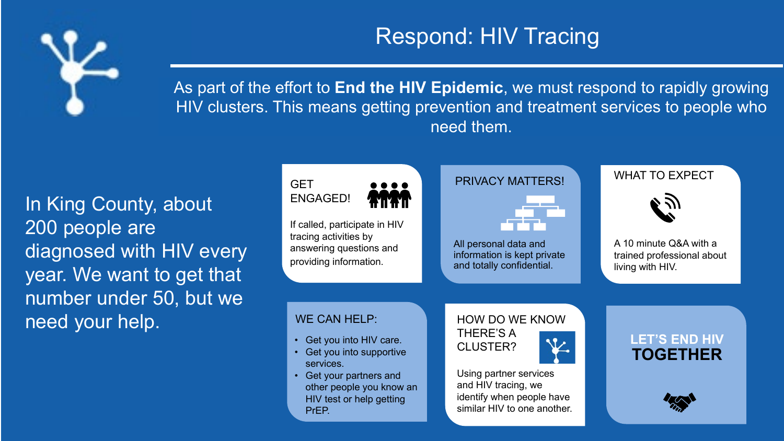

### Respond: HIV Tracing

As part of the effort to **End the HIV Epidemic**, we must respond to rapidly growing HIV clusters. This means getting prevention and treatment services to people who need them.

In King County, about 200 people are diagnosed with HIV every year. We want to get that number under 50, but we need your help.



• Get your partners and other people you know an HIV test or help getting PrEP.

Using partner services and HIV tracing, we identify when people have similar HIV to one another.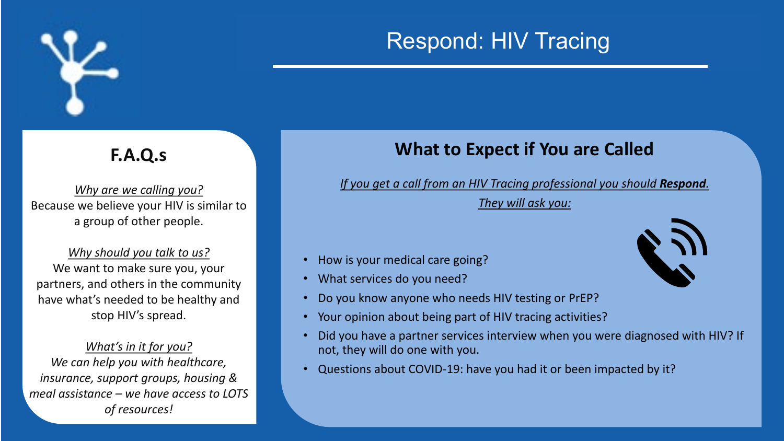

# Respond: HIV Tracing

#### **F.A.Q.s**

*Why are we calling you?* Because we believe your HIV is similar to a group of other people.

*Why should you talk to us?* We want to make sure you, your partners, and others in the community have what's needed to be healthy and stop HIV's spread.

*What's in it for you? We can help you with healthcare, insurance, support groups, housing & meal assistance – we have access to LOTS of resources!*

#### **What to Expect if You are Called**

*If you get a call from an HIV Tracing professional you should Respond.* 

*They will ask you:*

- How is your medical care going?
- What services do you need?
- Do you know anyone who needs HIV testing or PrEP?
- Your opinion about being part of HIV tracing activities?
- Did you have a partner services interview when you were diagnosed with HIV? If not, they will do one with you.
- Questions about COVID-19: have you had it or been impacted by it?